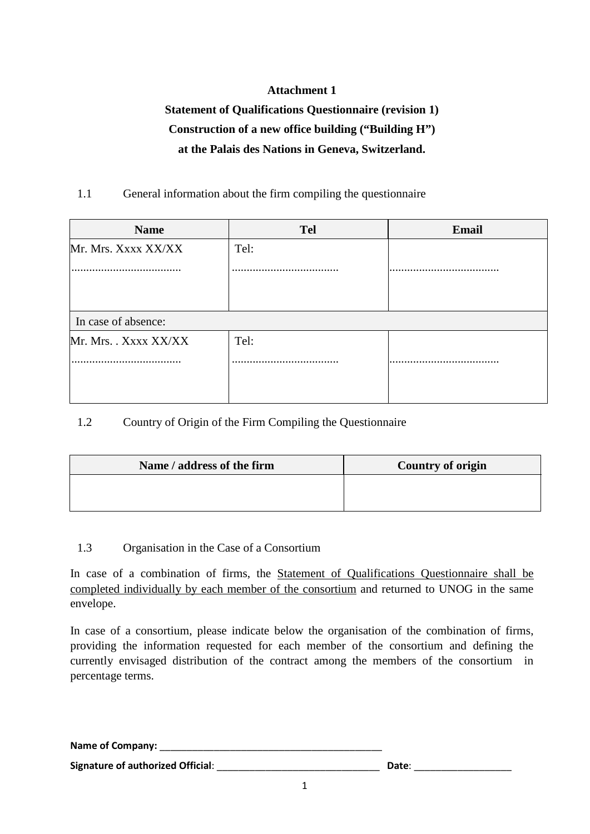## **Attachment 1**

# **Statement of Qualifications Questionnaire (revision 1) Construction of a new office building ("Building H") at the Palais des Nations in Geneva, Switzerland.**

### 1.1 General information about the firm compiling the questionnaire

| <b>Name</b>           | <b>Tel</b> | <b>Email</b> |
|-----------------------|------------|--------------|
| Mr. Mrs. Xxxx XX/XX   | Tel:       |              |
|                       |            |              |
| In case of absence:   |            |              |
| Mr. Mrs. . Xxxx XX/XX | Tel:       |              |
|                       |            |              |
|                       |            |              |

### 1.2 Country of Origin of the Firm Compiling the Questionnaire

| Name / address of the firm | <b>Country of origin</b> |
|----------------------------|--------------------------|
|                            |                          |
|                            |                          |

#### 1.3 Organisation in the Case of a Consortium

In case of a combination of firms, the Statement of Qualifications Questionnaire shall be completed individually by each member of the consortium and returned to UNOG in the same envelope.

In case of a consortium, please indicate below the organisation of the combination of firms, providing the information requested for each member of the consortium and defining the currently envisaged distribution of the contract among the members of the consortium in percentage terms.

Name of Company:

**Signature of authorized Official**: \_\_\_\_\_\_\_\_\_\_\_\_\_\_\_\_\_\_\_\_\_\_\_\_\_\_\_\_\_\_ **Date**: \_\_\_\_\_\_\_\_\_\_\_\_\_\_\_\_\_\_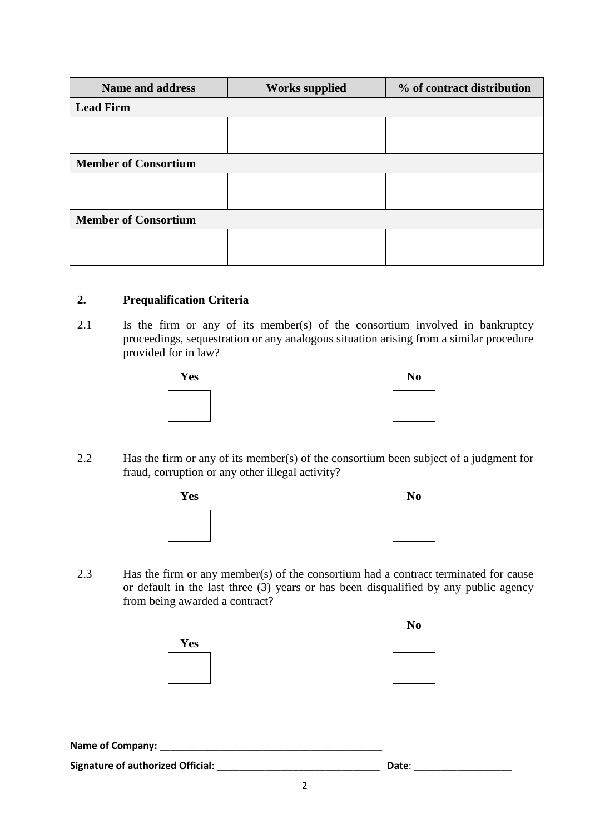| <b>Name and address</b>     | <b>Works supplied</b> | % of contract distribution |
|-----------------------------|-----------------------|----------------------------|
| <b>Lead Firm</b>            |                       |                            |
|                             |                       |                            |
|                             |                       |                            |
| <b>Member of Consortium</b> |                       |                            |
|                             |                       |                            |
|                             |                       |                            |
| <b>Member of Consortium</b> |                       |                            |
|                             |                       |                            |
|                             |                       |                            |

#### **2. Prequalification Criteria**

2.1 Is the firm or any of its member(s) of the consortium involved in bankruptcy proceedings, sequestration or any analogous situation arising from a similar procedure provided for in law?





2.2 Has the firm or any of its member(s) of the consortium been subject of a judgment for fraud, corruption or any other illegal activity?





2.3 Has the firm or any member(s) of the consortium had a contract terminated for cause or default in the last three (3) years or has been disqualified by any public agency from being awarded a contract?

|                                   |   | N <sub>0</sub> |  |
|-----------------------------------|---|----------------|--|
| Yes                               |   |                |  |
|                                   |   |                |  |
|                                   |   |                |  |
|                                   |   |                |  |
|                                   |   |                |  |
|                                   |   |                |  |
| Name of Company: _________        |   |                |  |
| Signature of authorized Official: |   | Date:          |  |
|                                   | 2 |                |  |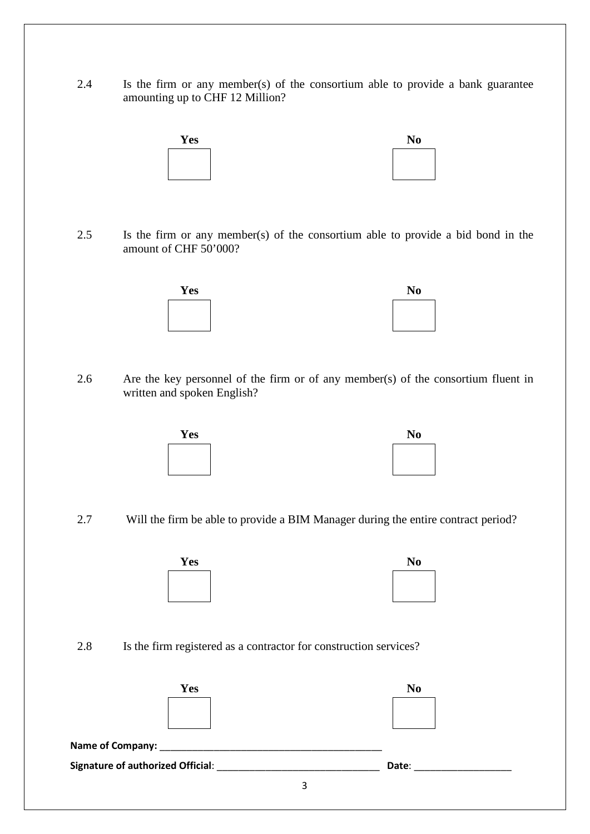2.4 Is the firm or any member(s) of the consortium able to provide a bank guarantee amounting up to CHF 12 Million?



2.5 Is the firm or any member(s) of the consortium able to provide a bid bond in the amount of CHF 50'000?

| <b>Yes</b> | No |
|------------|----|
|            |    |
|            |    |
|            |    |

| Nо |  |
|----|--|
|    |  |
|    |  |
|    |  |

2.6 Are the key personnel of the firm or of any member(s) of the consortium fluent in written and spoken English?

| es |  |
|----|--|
|    |  |
|    |  |
|    |  |



2.7 Will the firm be able to provide a BIM Manager during the entire contract period?



| No |  |  |
|----|--|--|
|    |  |  |
|    |  |  |
|    |  |  |

2.8 Is the firm registered as a contractor for construction services?

| Yes                               |   | N <sub>0</sub> |  |
|-----------------------------------|---|----------------|--|
|                                   |   |                |  |
|                                   |   |                |  |
| Signature of authorized Official: |   | Date:          |  |
|                                   | 3 |                |  |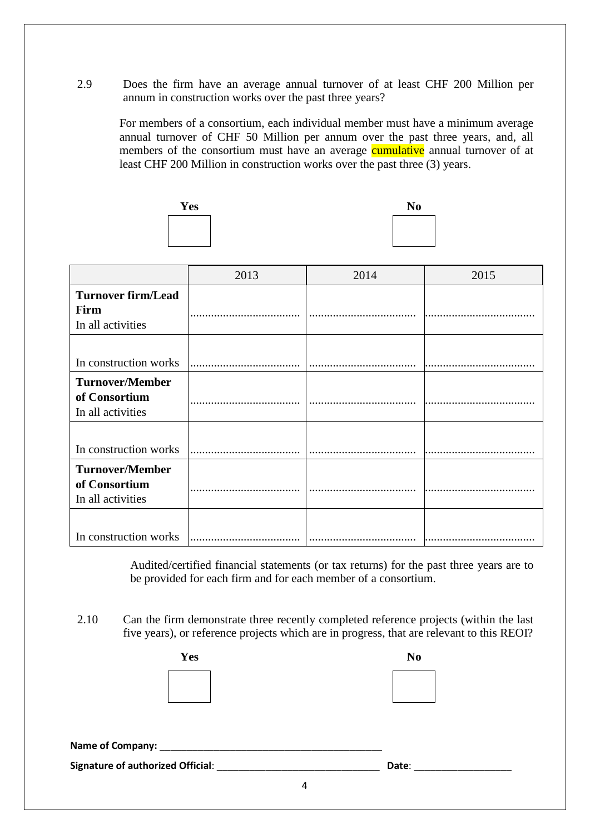2.9 Does the firm have an average annual turnover of at least CHF 200 Million per annum in construction works over the past three years?

For members of a consortium, each individual member must have a minimum average annual turnover of CHF 50 Million per annum over the past three years, and, all members of the consortium must have an average **cumulative** annual turnover of at least CHF 200 Million in construction works over the past three (3) years.



|                                                              | 2013 | 2014 | 2015 |
|--------------------------------------------------------------|------|------|------|
| <b>Turnover firm/Lead</b><br>Firm<br>In all activities       |      |      |      |
| In construction works                                        |      |      |      |
| <b>Turnover/Member</b><br>of Consortium<br>In all activities |      |      |      |
| In construction works                                        |      |      |      |
| <b>Turnover/Member</b><br>of Consortium<br>In all activities |      |      |      |
| In construction works                                        |      |      |      |

Audited/certified financial statements (or tax returns) for the past three years are to be provided for each firm and for each member of a consortium.

2.10 Can the firm demonstrate three recently completed reference projects (within the last five years), or reference projects which are in progress, that are relevant to this REOI?

| <b>Yes</b> |   | N <sub>0</sub> |
|------------|---|----------------|
|            |   |                |
|            |   | Date:          |
|            | 4 |                |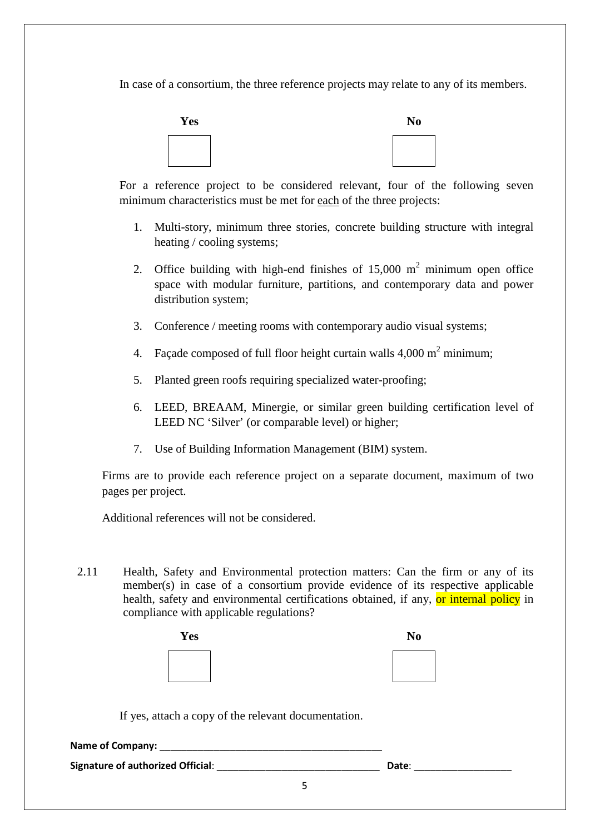In case of a consortium, the three reference projects may relate to any of its members.



For a reference project to be considered relevant, four of the following seven minimum characteristics must be met for each of the three projects:

- 1. Multi-story, minimum three stories, concrete building structure with integral heating / cooling systems;
- 2. Office building with high-end finishes of  $15,000 \text{ m}^2$  minimum open office space with modular furniture, partitions, and contemporary data and power distribution system;
- 3. Conference / meeting rooms with contemporary audio visual systems;
- 4. Façade composed of full floor height curtain walls  $4,000 \text{ m}^2$  minimum;
- 5. Planted green roofs requiring specialized water-proofing;
- 6. LEED, BREAAM, Minergie, or similar green building certification level of LEED NC 'Silver' (or comparable level) or higher;
- 7. Use of Building Information Management (BIM) system.

Firms are to provide each reference project on a separate document, maximum of two pages per project.

Additional references will not be considered.

2.11 Health, Safety and Environmental protection matters: Can the firm or any of its member(s) in case of a consortium provide evidence of its respective applicable health, safety and environmental certifications obtained, if any, or internal policy in compliance with applicable regulations?

| Yes | N <sub>0</sub> |
|-----|----------------|
|     |                |
|     |                |
|     |                |
|     |                |

If yes, attach a copy of the relevant documentation.

| <b>Name of Company:</b>                  |       |
|------------------------------------------|-------|
| <b>Signature of authorized Official:</b> | Date: |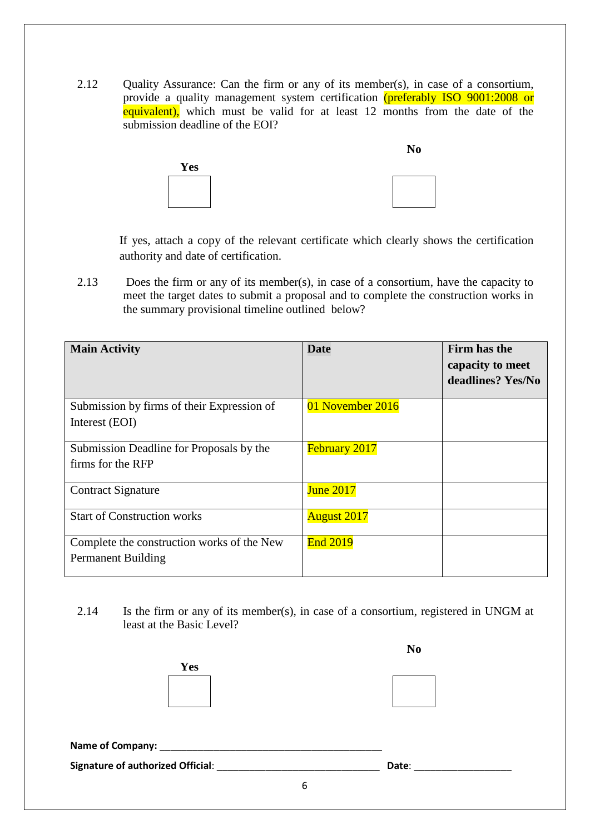2.12 Quality Assurance: Can the firm or any of its member(s), in case of a consortium, provide a quality management system certification (preferably ISO 9001:2008 or equivalent), which must be valid for at least 12 months from the date of the submission deadline of the EOI?



If yes, attach a copy of the relevant certificate which clearly shows the certification authority and date of certification.

2.13 Does the firm or any of its member(s), in case of a consortium, have the capacity to meet the target dates to submit a proposal and to complete the construction works in the summary provisional timeline outlined below?

| <b>Main Activity</b>                                                    | <b>Date</b>          | Firm has the<br>capacity to meet<br>deadlines? Yes/No |
|-------------------------------------------------------------------------|----------------------|-------------------------------------------------------|
| Submission by firms of their Expression of<br>Interest (EOI)            | 01 November 2016     |                                                       |
| Submission Deadline for Proposals by the<br>firms for the RFP           | <b>February 2017</b> |                                                       |
| <b>Contract Signature</b>                                               | <b>June 2017</b>     |                                                       |
| <b>Start of Construction works</b>                                      | <b>August 2017</b>   |                                                       |
| Complete the construction works of the New<br><b>Permanent Building</b> | <b>End 2019</b>      |                                                       |

2.14 Is the firm or any of its member(s), in case of a consortium, registered in UNGM at least at the Basic Level?

|                                           |   | N <sub>0</sub> |  |
|-------------------------------------------|---|----------------|--|
| <b>Yes</b>                                |   |                |  |
|                                           |   |                |  |
| Name of Company: _________                |   |                |  |
| Signature of authorized Official: _______ |   | Date:          |  |
|                                           | 6 |                |  |